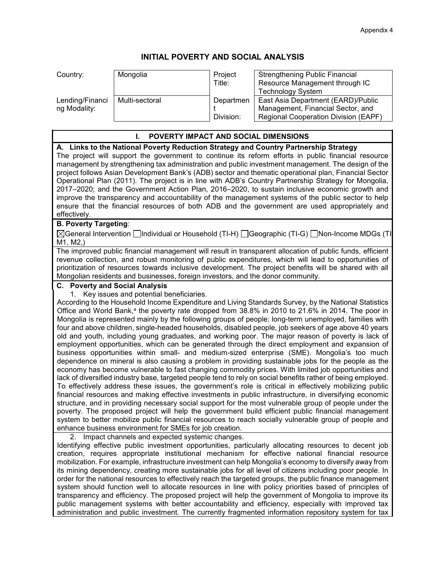## **INITIAL POVERTY AND SOCIAL ANALYSIS**

| Country:                        | Mongolia       | Project<br>Title:      | <b>Strengthening Public Financial</b><br>Resource Management through IC<br><b>Technology System</b>             |
|---------------------------------|----------------|------------------------|-----------------------------------------------------------------------------------------------------------------|
| Lending/Financi<br>ng Modality: | Multi-sectoral | Departmen<br>Division: | East Asia Department (EARD)/Public<br>Management, Financial Sector, and<br>Regional Cooperation Division (EAPF) |

## **I. POVERTY IMPACT AND SOCIAL DIMENSIONS A. Links to the National Poverty Reduction Strategy and Country Partnership Strategy**  The project will support the government to continue its reform efforts in public financial resource management by strengthening tax administration and public investment management. The design of the project follows Asian Development Bank's (ADB) sector and thematic operational plan, Financial Sector Operational Plan (2011). The project is in line with ADB's Country Partnership Strategy for Mongolia, 2017–2020; and the Government Action Plan, 2016–2020, to sustain inclusive economic growth and improve the transparency and accountability of the management systems of the public sector to help ensure that the financial resources of both ADB and the government are used appropriately and effectively. **B. Poverty Targeting**:  $\boxtimes$ General Intervention  $\Box$ Individual or Household (TI-H)  $\Box$ Geographic (TI-G)  $\Box$ Non-Income MDGs (TI-M1, M2,) The improved public financial management will result in transparent allocation of public funds, efficient revenue collection, and robust monitoring of public expenditures, which will lead to opportunities of prioritization of resources towards inclusive development. The project benefits will be shared with all Mongolian residents and businesses, foreign investors, and the donor community. **C. Poverty and Social Analysis** 1. Key issues and potential beneficiaries. According to the Household Income Expenditure and Living Standards Survey, by the National Statistics Office and World Bank,<sup>a</sup> the poverty rate dropped from  $38.8\%$  in 2010 to 21.6% in 2014. The poor in Mongolia is represented mainly by the following groups of people: long-term unemployed, families with four and above children, single-headed households, disabled people, job seekers of age above 40 years old and youth, including young graduates, and working poor. The major reason of poverty is lack of employment opportunities, which can be generated through the direct employment and expansion of business opportunities within small- and medium-sized enterprise (SME). Mongolia's too much dependence on mineral is also causing a problem in providing sustainable jobs for the people as the economy has become vulnerable to fast changing commodity prices. With limited job opportunities and

lack of diversified industry base, targeted people tend to rely on social benefits rather of being employed. To effectively address these issues, the government's role is critical in effectively mobilizing public financial resources and making effective investments in public infrastructure, in diversifying economic structure, and in providing necessary social support for the most vulnerable group of people under the poverty. The proposed project will help the government build efficient public financial management system to better mobilize public financial resources to reach socially vulnerable group of people and enhance business environment for SMEs for job creation.

2. Impact channels and expected systemic changes.

Identifying effective public investment opportunities, particularly allocating resources to decent job creation, requires appropriate institutional mechanism for effective national financial resource mobilization. For example, infrastructure investment can help Mongolia's economy to diversify away from its mining dependency, creating more sustainable jobs for all level of citizens including poor people. In order for the national resources to effectively reach the targeted groups, the public finance management system should function well to allocate resources in line with policy priorities based of principles of transparency and efficiency. The proposed project will help the government of Mongolia to improve its public management systems with better accountability and efficiency, especially with improved tax administration and public investment. The currently fragmented information repository system for tax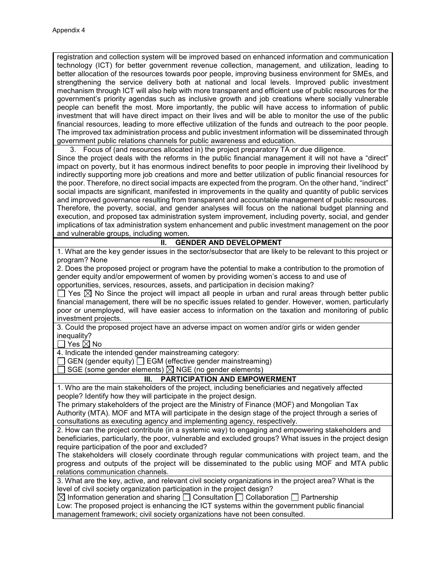registration and collection system will be improved based on enhanced information and communication technology (ICT) for better government revenue collection, management, and utilization, leading to better allocation of the resources towards poor people, improving business environment for SMEs, and strengthening the service delivery both at national and local levels. Improved public investment mechanism through ICT will also help with more transparent and efficient use of public resources for the government's priority agendas such as inclusive growth and job creations where socially vulnerable people can benefit the most. More importantly, the public will have access to information of public investment that will have direct impact on their lives and will be able to monitor the use of the public financial resources, leading to more effective utilization of the funds and outreach to the poor people. The improved tax administration process and public investment information will be disseminated through government public relations channels for public awareness and education.

3. Focus of (and resources allocated in) the project preparatory TA or due diligence. Since the project deals with the reforms in the public financial management it will not have a "direct" impact on poverty, but it has enormous indirect benefits to poor people in improving their livelihood by indirectly supporting more job creations and more and better utilization of public financial resources for the poor. Therefore, no direct social impacts are expected from the program. On the other hand, "indirect" social impacts are significant, manifested in improvements in the quality and quantity of public services and improved governance resulting from transparent and accountable management of public resources. Therefore, the poverty, social, and gender analyses will focus on the national budget planning and execution, and proposed tax administration system improvement, including poverty, social, and gender implications of tax administration system enhancement and public investment management on the poor and vulnerable groups, including women.

## **II. GENDER AND DEVELOPMENT**

1. What are the key gender issues in the sector/subsector that are likely to be relevant to this project or program? None

2. Does the proposed project or program have the potential to make a contribution to the promotion of gender equity and/or empowerment of women by providing women's access to and use of opportunities, services, resources, assets, and participation in decision making?

 $\Box$  Yes  $\boxtimes$  No Since the project will impact all people in urban and rural areas through better public financial management, there will be no specific issues related to gender. However, women, particularly poor or unemployed, will have easier access to information on the taxation and monitoring of public investment projects.

3. Could the proposed project have an adverse impact on women and/or girls or widen gender inequality?

 $\Box$  Yes  $\boxtimes$  No

4. Indicate the intended gender mainstreaming category:

 $\Box$  GEN (gender equity)  $\Box$  EGM (effective gender mainstreaming)

SGE (some gender elements)  $\boxtimes$  NGE (no gender elements)

## **III. PARTICIPATION AND EMPOWERMENT**

1. Who are the main stakeholders of the project, including beneficiaries and negatively affected people? Identify how they will participate in the project design.

The primary stakeholders of the project are the Ministry of Finance (MOF) and Mongolian Tax Authority (MTA). MOF and MTA will participate in the design stage of the project through a series of consultations as executing agency and implementing agency, respectively.

2. How can the project contribute (in a systemic way) to engaging and empowering stakeholders and beneficiaries, particularly, the poor, vulnerable and excluded groups? What issues in the project design require participation of the poor and excluded?

The stakeholders will closely coordinate through regular communications with project team, and the progress and outputs of the project will be disseminated to the public using MOF and MTA public relations communication channels.

3. What are the key, active, and relevant civil society organizations in the project area? What is the level of civil society organization participation in the project design?

 $\boxtimes$  Information generation and sharing  $\Box$  Consultation  $\Box$  Collaboration  $\Box$  Partnership

Low: The proposed project is enhancing the ICT systems within the government public financial management framework; civil society organizations have not been consulted.